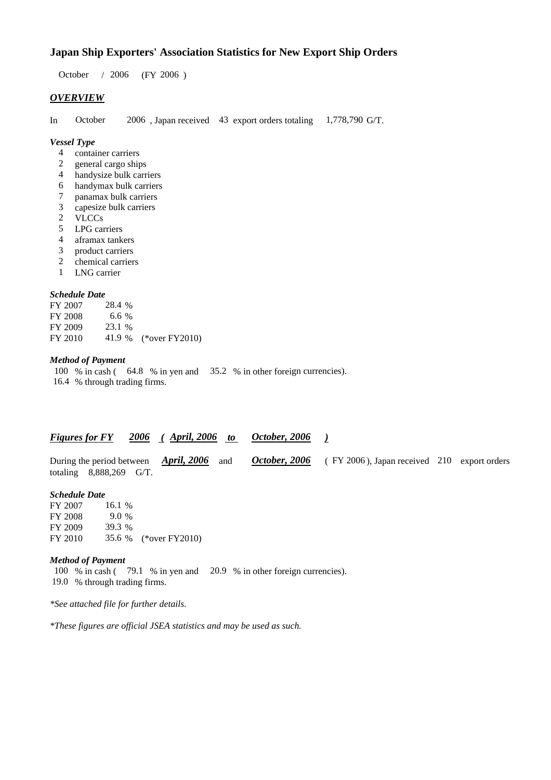### **Japan Ship Exporters' Association Statistics for New Export Ship Orders**

 $/ 2006$  (FY 2006) October / 2006

#### *OVERVIEW*

In October 2006, Japan received 43 export orders totaling 1,778,790 G/T. 1,778,790 G/T.

#### *Vessel Type*

- container carriers 4
- general cargo ships 2
- handysize bulk carriers 4
- handymax bulk carriers 6
- panamax bulk carriers 7
- capesize bulk carriers 3
- VLCCs 2
- LPG carriers 5
- aframax tankers 4
- product carriers 3
- chemical carriers 2
- LNG carrier 1

#### *Schedule Date*

| FY 2007 | 28.4 %  |                       |
|---------|---------|-----------------------|
| FY 2008 | 6.6 $%$ |                       |
| FY 2009 | 23.1 %  |                       |
| FY 2010 |         | 41.9 % (*over FY2010) |

#### *Method of Payment*

100 % in cash (64.8 % in yen and 35.2 % in other foreign currencies). 16.4 % through trading firms.

#### *Figures for FY* 2006 (April, 2006 to October, 2006) *October, 2006*

During the period between *April, 2006* and *October, 2006* (FY 2006), Japan received 210 export orders totaling 8,888,269 G/T. *April, 2006 October, 2006*

#### *Schedule Date*

FY 2007 FY 2008 FY 2009 FY 2010 35.6 % (\*over FY 2010) 16.1 % 39.3 9.0

#### *Method of Payment*

100 % in cash (79.1 % in yen and 20.9 % in other foreign currencies). % through trading firms. 19.0

*\*See attached file for further details.*

*\*These figures are official JSEA statistics and may be used as such.*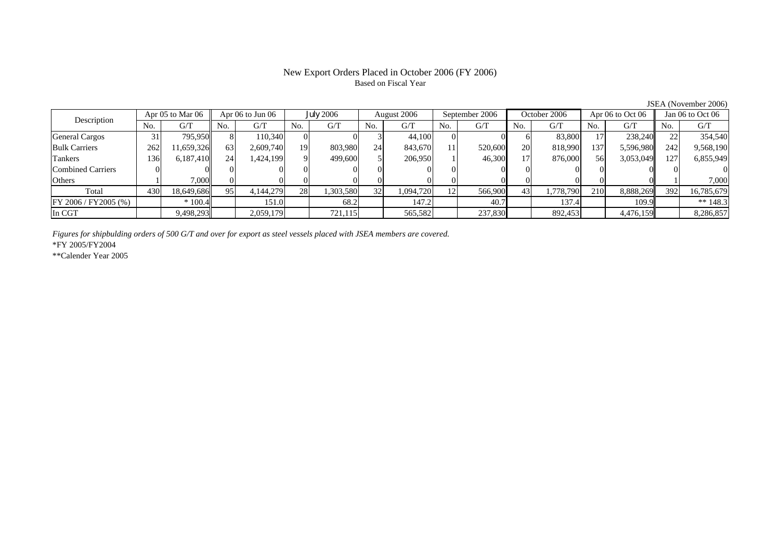#### New Export Orders Placed in October 2006 (FY 2006) Based on Fiscal Year

JSEA (November 2006)

| Description             |     | Apr 05 to Mar 06 | Apr $06$ to Jun $06$ |           | July 2006 |           | August 2006     |           | September 2006  |         | October 2006 |           | Apr $06$ to Oct $06$ |           | Jan 06 to Oct 06 |            |
|-------------------------|-----|------------------|----------------------|-----------|-----------|-----------|-----------------|-----------|-----------------|---------|--------------|-----------|----------------------|-----------|------------------|------------|
|                         | No. | G/T              | No.                  | G/T       | No.       | G/T       | No.             | G/T       | No.             | G/T     | No.          | G/T       | No.                  | G/T       | No.              | G/T        |
| <b>General Cargos</b>   | 31  | 795.950          |                      | 110.340   |           |           |                 | 44,100    | 01              |         |              | 83,800    |                      | 238,240   |                  | 354,540    |
| <b>Bulk Carriers</b>    | 262 | 1,659,326        | 63                   | 2,609,740 | 19.       | 803,980   | 24              | 843.670   | 11              | 520,600 | 20           | 818,990   | 137                  | 5,596,980 | 242              | 9,568,190  |
| Tankers                 | 136 | 6,187,410        | 24 <sub>1</sub>      | .424,199  |           | 499,600   |                 | 206,950   |                 | 46,300  | 17           | 876,000   | 56                   | 3,053,049 | 127              | 6,855,949  |
| Combined Carriers       |     |                  |                      |           |           |           |                 |           |                 |         |              |           |                      |           |                  |            |
| Others                  |     | 7,000            |                      |           |           |           |                 |           |                 |         |              |           |                      |           |                  | 7,000      |
| Total                   | 430 | 18,649,686       | 95                   | 4,144,279 | 28        | 1,303,580 | 32 <sup>1</sup> | 1,094,720 | 12 <sub>l</sub> | 566,900 | 43           | 1,778,790 | 210                  | 8,888,269 | 392              | 16,785,679 |
| $FY 2006 / FY 2005$ (%) |     | $*100.4$         |                      | 151.0     |           | 68.2      |                 | 147.2     |                 | 40.7    |              | 137.4     |                      | 109.9     |                  | ** $148.3$ |
| In CGT                  |     | 9,498,293        |                      | 2,059,179 |           | 721,115   |                 | 565,582   |                 | 237,830 |              | 892,453   |                      | 4,476,159 |                  | 8,286,857  |

*Figures for shipbulding orders of 500 G/T and over for export as steel vessels placed with JSEA members are covered.*

\*FY 2005/FY2004

\*\*Calender Year 2005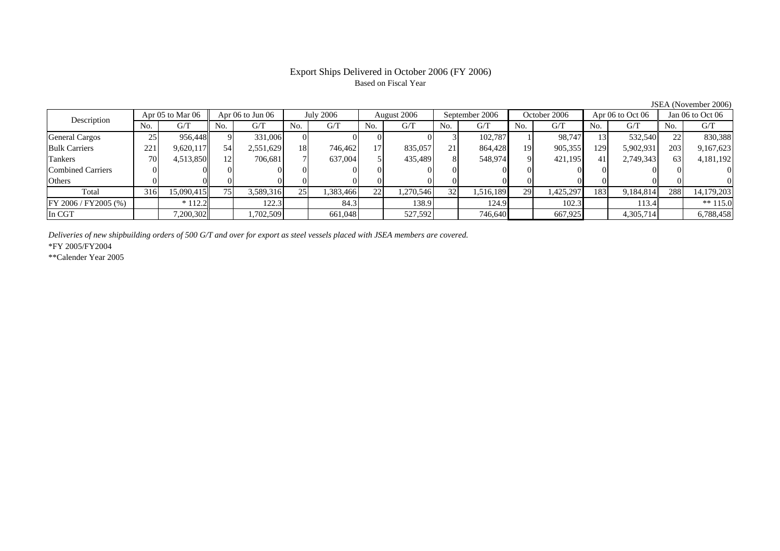## Based on Fiscal Year

No. I G/T II No. I G/T II No. I G/T II No. I G/T G/T II No. I G/T II No. I G/T II No. I G/T II No. I G/T II No  $\mathrm{G}/\mathrm{T}$ General Cargos ( 25 956,448 9 331,006 0 0 0 0 0 3 102,787 1 98,747 13 532,540 22 830,388 Bulk Carriers 221 9,620,117 54 2,551,629 18 746,462 17 835,057 21 864,428 19 905,355 129 5,902,931 203 9,167,623 Tankers | 70| 4,513,850|| 12| 706,681| 7| 637,004| 5| 435,489| 8| 548,974| 9| 421,195| 41| 2,749,343|| 63| 4,181,192 Combined Carriers 0 0 0 0 0 0 0 0 0 0 0 0 0 0 0 0Others | 0 | 0 | 0 | 0 | 0 | 0 | 0 | 0 | 0 | 0 | 0 | 0 Total 316 15,090,415 75 3,589,316 25 1,383,466 22 1,270,546 32 1,516,189 29 1,425,297 183 9,184,814 288 14,179,203 FY 2006 / FY2005 (%) \* 112.2 122.3 84.3 138.9 124.9 102.3 113.4 \*\* 115.0 In CGT | | 7,200,302|| | 1,702,509 | | 661,048 | | 527,592 | | 746,640 | | 667,925 | | 4,305,714 | | 6,788,458 Apr 06 to Jun 06 July 2006 August 2006 Description Apr 05 to Mar 06 | Apr 06 to Jun 06 | July 2006 | August 2006 | September 2006 | October 2006 | Apr 06 to Oct 06 || Jan 06 to Oct 06

*Deliveries of new shipbuilding orders of 500 G/T and over for export as steel vessels placed with JSEA members are covered.*

\*FY 2005/FY2004

\*\*Calender Year 2005

JSEA (November 2006)

# Export Ships Delivered in October 2006 (FY 2006)